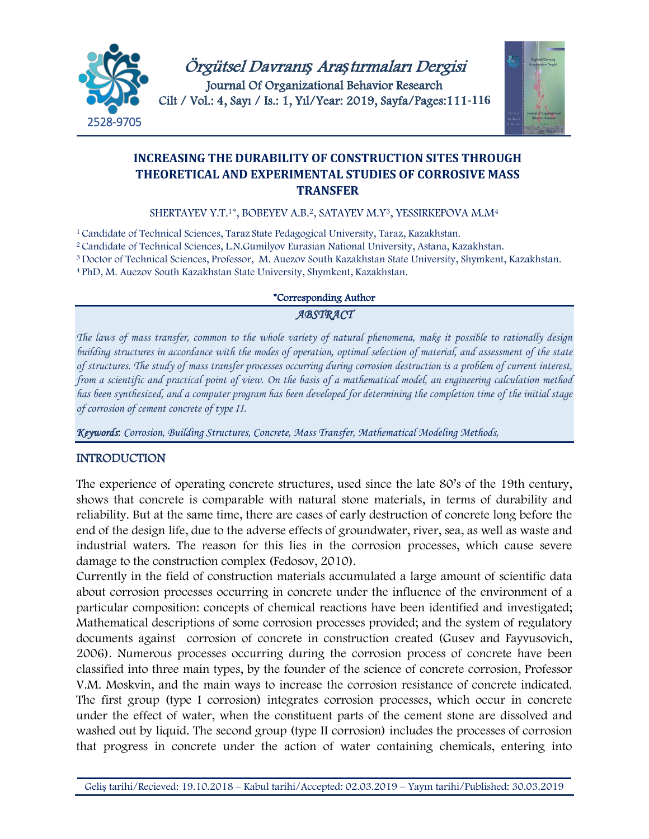



# **INCREASING THE DURABILITY OF CONSTRUCTION SITES THROUGH THEORETICAL AND EXPERIMENTAL STUDIES OF CORROSIVE MASS TRANSFER**

SHERTAYEV Y.T.<sup>1\*</sup>, BOBEYEV A.B.<sup>2</sup>, SATAYEV M.Y<sup>3</sup>, YESSIRKEPOVA M.M<sup>4</sup>

<sup>1</sup> Candidate of Technical Sciences, Taraz State Pedagogical University, Taraz, Kazakhstan.

2 Candidate of Technical Sciences, L.N.Gumilyov Eurasian National University, Astana, Kazakhstan.

<sup>3</sup>Doctor of Technical Sciences, Professor, M. Auezov South Kazakhstan State University, Shymkent, Kazakhstan.

<sup>4</sup>PhD, M. Auezov South Kazakhstan State University, Shymkent, Kazakhstan.

#### \*Corresponding Author

### *ABSTRACT*

*The laws of mass transfer, common to the whole variety of natural phenomena, make it possible to rationally design building structures in accordance with the modes of operation, optimal selection of material, and assessment of the state of structures. The study of mass transfer processes occurring during corrosion destruction is a problem of current interest, from a scientific and practical point of view. On the basis of a mathematical model, an engineering calculation method has been synthesized, and a computer program has been developed for determining the completion time of the initial stage of corrosion of cement concrete of type II.*

*Keywords*: *Corrosion, Building Structures, Concrete, Mass Transfer, Mathematical Modeling Methods,* 

## INTRODUCTION

The experience of operating concrete structures, used since the late 80's of the 19th century, shows that concrete is comparable with natural stone materials, in terms of durability and reliability. But at the same time, there are cases of early destruction of concrete long before the end of the design life, due to the adverse effects of groundwater, river, sea, as well as waste and industrial waters. The reason for this lies in the corrosion processes, which cause severe damage to the construction complex (Fedosov, 2010).

Currently in the field of construction materials accumulated a large amount of scientific data about corrosion processes occurring in concrete under the influence of the environment of a particular composition: concepts of chemical reactions have been identified and investigated; Mathematical descriptions of some corrosion processes provided; and the system of regulatory documents against corrosion of concrete in construction created (Gusev and Fayvusovich, 2006). Numerous processes occurring during the corrosion process of concrete have been classified into three main types, by the founder of the science of concrete corrosion, Professor V.M. Moskvin, and the main ways to increase the corrosion resistance of concrete indicated. The first group (type I corrosion) integrates corrosion processes, which occur in concrete under the effect of water, when the constituent parts of the cement stone are dissolved and washed out by liquid. The second group (type II corrosion) includes the processes of corrosion that progress in concrete under the action of water containing chemicals, entering into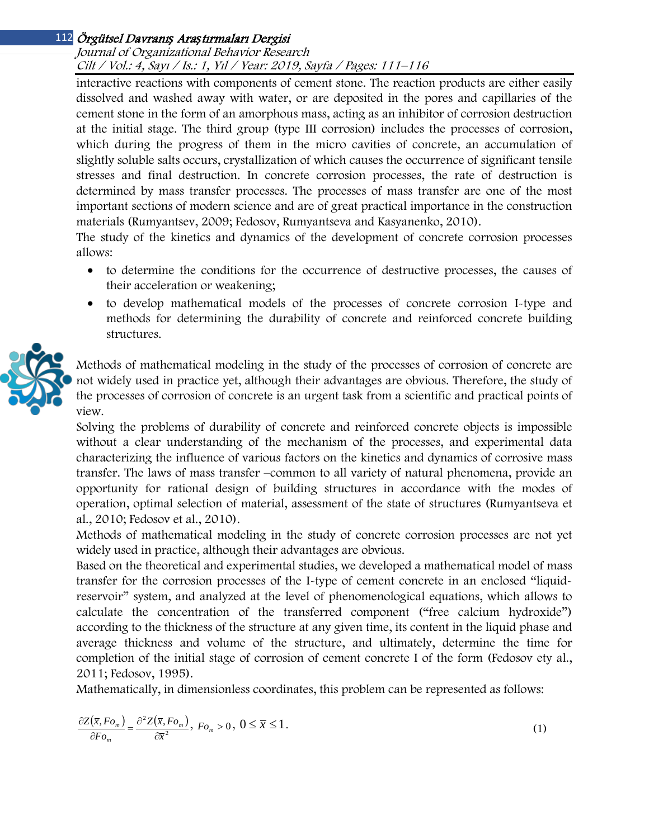# Örgütsel Davranı*ş* Ara*ş*tırmaları Dergisi 112

#### Journal of Organizational Behavior Research Cilt / Vol.: 4, Sayı / Is.: <sup>1</sup>, Yıl / Year: 2019, Sayfa / Pages: 111–116

interactive reactions with components of cement stone. The reaction products are either easily dissolved and washed away with water, or are deposited in the pores and capillaries of the cement stone in the form of an amorphous mass, acting as an inhibitor of corrosion destruction at the initial stage. The third group (type III corrosion) includes the processes of corrosion, which during the progress of them in the micro cavities of concrete, an accumulation of slightly soluble salts occurs, crystallization of which causes the occurrence of significant tensile stresses and final destruction. In concrete corrosion processes, the rate of destruction is determined by mass transfer processes. The processes of mass transfer are one of the most important sections of modern science and are of great practical importance in the construction materials (Rumyantsev, 2009; Fedosov, Rumyantseva and Kasyanenko, 2010).

The study of the kinetics and dynamics of the development of concrete corrosion processes allows:

- to determine the conditions for the occurrence of destructive processes, the causes of their acceleration or weakening;
- to develop mathematical models of the processes of concrete corrosion I-type and methods for determining the durability of concrete and reinforced concrete building structures.



Methods of mathematical modeling in the study of the processes of corrosion of concrete are not widely used in practice yet, although their advantages are obvious. Therefore, the study of the processes of corrosion of concrete is an urgent task from a scientific and practical points of view.

Solving the problems of durability of concrete and reinforced concrete objects is impossible without a clear understanding of the mechanism of the processes, and experimental data characterizing the influence of various factors on the kinetics and dynamics of corrosive mass transfer. The laws of mass transfer –common to all variety of natural phenomena, provide an opportunity for rational design of building structures in accordance with the modes of operation, optimal selection of material, assessment of the state of structures (Rumyantseva et al., 2010; Fedosov et al., 2010).

Methods of mathematical modeling in the study of concrete corrosion processes are not yet widely used in practice, although their advantages are obvious.

Based on the theoretical and experimental studies, we developed a mathematical model of mass transfer for the corrosion processes of the I-type of cement concrete in an enclosed "liquidreservoir" system, and analyzed at the level of phenomenological equations, which allows to calculate the concentration of the transferred component ("free calcium hydroxide") according to the thickness of the structure at any given time, its content in the liquid phase and average thickness and volume of the structure, and ultimately, determine the time for completion of the initial stage of corrosion of cement concrete I of the form (Fedosov ety al., 2011; Fedosov, 1995).

Mathematically, in dimensionless coordinates, this problem can be represented as follows:

$$
\frac{\partial Z(\overline{x}, F o_m)}{\partial F o_m} = \frac{\partial^2 Z(\overline{x}, F o_m)}{\partial \overline{x}^2}, \ F o_m > 0, \ 0 \le \overline{x} \le 1.
$$
\n(1)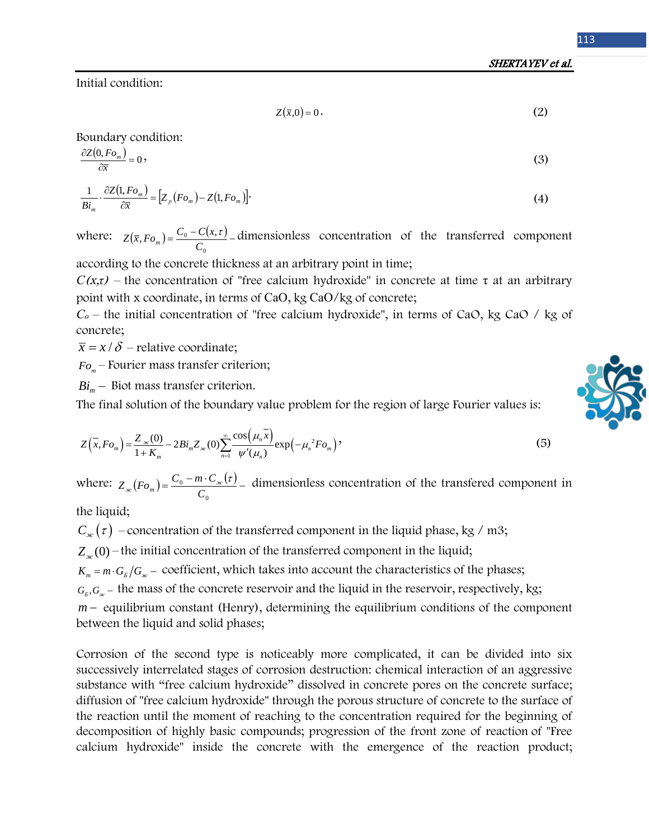SHERTAYEV et al.

Initial condition:

$$
Z(\bar{x},0) = 0.
$$
 (2)

Boundary condition:

$$
\frac{\partial Z(0, Fo_m)}{\partial \overline{x}} = 0,
$$
\n(3)\n
$$
1 \quad \partial Z(1, Fo_m) \quad [Z(f_m) - Z(f_m)]
$$
\n(4)

$$
\frac{1}{Bi_m} \cdot \frac{\partial Z(1, Fo_m)}{\partial \overline{x}} = [Z_p(Fo_m) - Z(1, Fo_m)].
$$
\n(4)

where:  $Z(\bar{x}, Fo_m) = \frac{C_0 - C(x, \tau)}{\tau}$  $Z(\bar{x}, Fo_m) = \frac{C_0 - C(x, \tau)}{C_0}$  dimensionless concentration of the transferred component

according to the concrete thickness at an arbitrary point in time;

*С*(<sup>x</sup>,*τ*) – the concentration of "free calcium hydroxide" in concrete at time τ at an arbitrary point with x coordinate, in terms of CaO, kg CaO/kg of concrete;

*Со* – the initial concentration of "free calcium hydroxide", in terms of CaO, kg CaO / kg of concrete;

 $\bar{x} = x / \delta$  – relative coordinate;

*Fo*<sub>*m*</sub> – Fourier mass transfer criterion;

*Bi<sub>m</sub>* − Biot mass transfer criterion.

The final solution of the boundary value problem for the region of large Fourier values is:

$$
Z(\bar{x}, Fo_m) = \frac{Z_{\infty}(0)}{1 + K_m} - 2Bi_m Z_{\infty}(0) \sum_{n=1}^{\infty} \frac{\cos(\mu_n \bar{x})}{\psi'(\mu_n)} \exp(-\mu_n^2 Fo_m)
$$
(5)

where:  $Z_{w}(F_{o_{m}}) = \frac{C_{0} - m \cdot C_{w}(z)}{Z_{w}(z)}$ 0  $\mathbf{0}$ *C*  $Z_{\alpha}(Fo_m) = \frac{C_0 - m \cdot C_{\alpha}(r)}{C}$  dimensionless concentration of the transfered component in

the liquid;

 $C_{\kappa}(\tau)$  – concentration of the transferred component in the liquid phase, kg / m3;

 $Z_{w}(0)$  – the initial concentration of the transferred component in the liquid;

 $K_m = m \cdot G_F / G_{\infty}$  – coefficient, which takes into account the characteristics of the phases;

 $G<sub>*B*</sub>, G<sub>*∞*</sub>$  − the mass of the concrete reservoir and the liquid in the reservoir, respectively, kg;

*m* − equilibrium constant (Henry), determining the equilibrium conditions of the component between the liquid and solid phases;

Corrosion of the second type is noticeably more complicated, it can be divided into six successively interrelated stages of corrosion destruction: chemical interaction of an aggressive substance with "free calcium hydroxide" dissolved in concrete pores on the concrete surface; diffusion of "free calcium hydroxide" through the porous structure of concrete to the surface of the reaction until the moment of reaching to the concentration required for the beginning of decomposition of highly basic compounds; progression of the front zone of reaction of "Free calcium hydroxide" inside the concrete with the emergence of the reaction product;

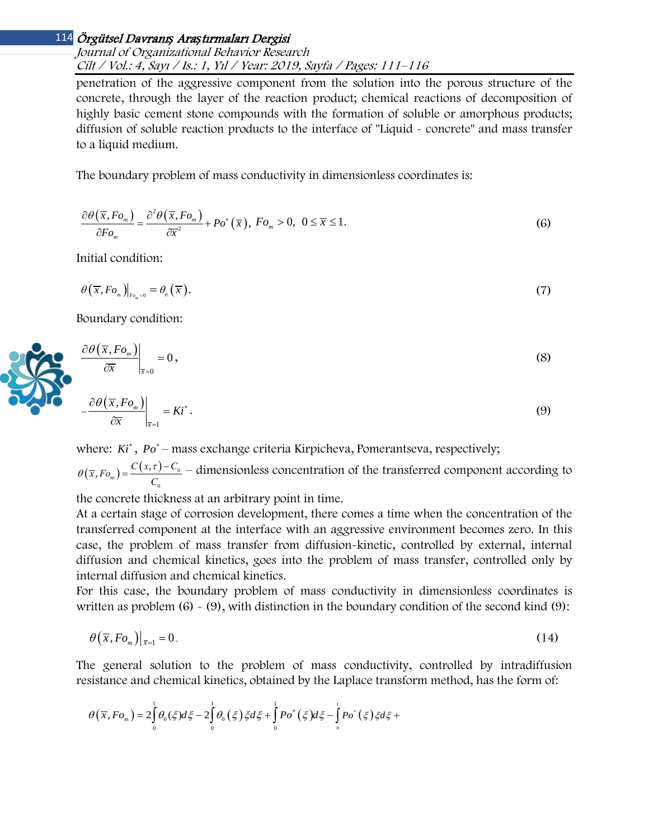# Örgütsel Davranı*ş* Ara*ş*tırmaları Dergisi 114

Journal of Organizational Behavior Research Cilt / Vol.: 4, Sayı / Is.: <sup>1</sup>, Yıl / Year: 2019, Sayfa / Pages: 111–116

penetration of the aggressive component from the solution into the porous structure of the concrete, through the layer of the reaction product; chemical reactions of decomposition of highly basic cement stone compounds with the formation of soluble or amorphous products; diffusion of soluble reaction products to the interface of "Liquid - concrete" and mass transfer to a liquid medium.

The boundary problem of mass conductivity in dimensionless coordinates is:

$$
\frac{\partial \theta(\overline{x}, F o_m)}{\partial F o_m} = \frac{\partial^2 \theta(\overline{x}, F o_m)}{\partial \overline{x}^2} + P o^*(\overline{x}), \ F o_m > 0, \ 0 \le \overline{x} \le 1. \tag{6}
$$

Initial condition:

$$
\theta\left(\overline{x}, Fo_m\right)|_{Fo_m=0} = \theta_0\left(\overline{x}\right). \tag{7}
$$

Boundary condition:

$$
\left. \frac{\partial \theta(\overline{x}, F_{o_m})}{\partial \overline{x}} \right|_{\overline{x}=0} = 0, \tag{8}
$$

$$
-\frac{\partial \theta(\overline{x}, F_{o_m})}{\partial \overline{x}}\bigg|_{\overline{x}=1} = Ki^*.
$$
\n(9)

where: *Ki*<sup>\*</sup>, *Po*<sup>\*</sup> – mass exchange criteria Kirpicheva, Pomerantseva, respectively;

 $(\overline{x}, F_{o_m}) = \frac{C(x, \tau) - C_0}{\tau}$ 0  $(\overline{x}, Fo_m) = \frac{C(x, \tau) - C}{C}$ *С*  $\theta(\bar{x}, F_{o_m}) = \frac{C(x,\bar{r})-C_0}{\pi}$  – dimensionless concentration of the transferred component according to

the concrete thickness at an arbitrary point in time.

At a certain stage of corrosion development, there comes a time when the concentration of the transferred component at the interface with an aggressive environment becomes zero. In this case, the problem of mass transfer from diffusion-kinetic, controlled by external, internal diffusion and chemical kinetics, goes into the problem of mass transfer, controlled only by internal diffusion and chemical kinetics.

For this case, the boundary problem of mass conductivity in dimensionless coordinates is written as problem  $(6) \sim (9)$ , with distinction in the boundary condition of the second kind  $(9)$ :

$$
\theta(\overline{x}, F_{o_m})|_{\overline{x}=1} = 0. \tag{14}
$$

The general solution to the problem of mass conductivity, controlled by intradiffusion resistance and chemical kinetics, obtained by the Laplace transform method, has the form of:

$$
\theta(\overline{x}, F_{o_m}) = 2 \int_0^1 \theta_0(\xi) d\xi - 2 \int_0^1 \theta_0(\xi) \xi d\xi + \int_0^1 P o^*(\xi) d\xi - \int_0^1 P o^*(\xi) \xi d\xi +
$$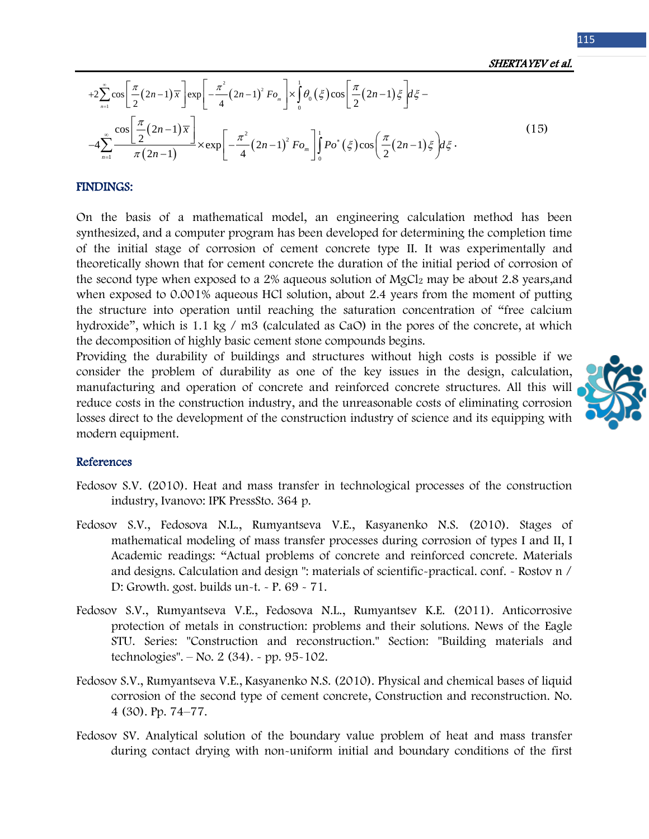SHERTAYEV et al.

$$
+2\sum_{n=1}^{\infty}\cos\left[\frac{\pi}{2}(2n-1)\overline{x}\right]\exp\left[-\frac{\pi^{2}}{4}(2n-1)^{2}Fo_{m}\right]\times\int_{0}^{1}\theta_{0}(\xi)\cos\left[\frac{\pi}{2}(2n-1)\xi\right]d\xi--4\sum_{n=1}^{\infty}\frac{\cos\left[\frac{\pi}{2}(2n-1)\overline{x}\right]}{\pi(2n-1)}\times\exp\left[-\frac{\pi^{2}}{4}(2n-1)^{2}Fo_{m}\right]\int_{0}^{1}Po^{*}(\xi)\cos\left(\frac{\pi}{2}(2n-1)\xi\right)d\xi.
$$
\n(15)

#### FINDINGS:

On the basis of a mathematical model, an engineering calculation method has been synthesized, and a computer program has been developed for determining the completion time of the initial stage of corrosion of cement concrete type II. It was experimentally and theoretically shown that for cement concrete the duration of the initial period of corrosion of the second type when exposed to a 2% aqueous solution of MgCl<sub>2</sub> may be about 2.8 years, and when exposed to 0.001% aqueous HCl solution, about 2.4 years from the moment of putting the structure into operation until reaching the saturation concentration of "free calcium hydroxide", which is 1.1 kg / m3 (calculated as CaO) in the pores of the concrete, at which the decomposition of highly basic cement stone compounds begins.

Providing the durability of buildings and structures without high costs is possible if we consider the problem of durability as one of the key issues in the design, calculation, manufacturing and operation of concrete and reinforced concrete structures. All this will reduce costs in the construction industry, and the unreasonable costs of eliminating corrosion losses direct to the development of the construction industry of science and its equipping with modern equipment.



#### References

- Fedosov S.V. (2010). Heat and mass transfer in technological processes of the construction industry, Ivanovo: IPK PressSto. 364 p.
- Fedosov S.V., Fedosova N.L., Rumyantseva V.E., Kasyanenko N.S. (2010). Stages of mathematical modeling of mass transfer processes during corrosion of types I and II, I Academic readings: "Actual problems of concrete and reinforced concrete. Materials and designs. Calculation and design ": materials of scientific-practical. conf. - Rostov n / D: Growth. gost. builds un-t. - P. 69 - 71.
- Fedosov S.V., Rumyantseva V.E., Fedosova N.L., Rumyantsev K.E. (2011). Anticorrosive protection of metals in construction: problems and their solutions. News of the Eagle STU. Series: "Construction and reconstruction." Section: "Building materials and technologies". – No. 2 (34). - pp. 95-102.
- Fedosov S.V., Rumyantseva V.E., Kasyanenko N.S. (2010). Physical and chemical bases of liquid corrosion of the second type of cement concrete, Construction and reconstruction. No. 4 (30). Pp. 74–77.
- Fedosov SV. Analytical solution of the boundary value problem of heat and mass transfer during contact drying with non-uniform initial and boundary conditions of the first